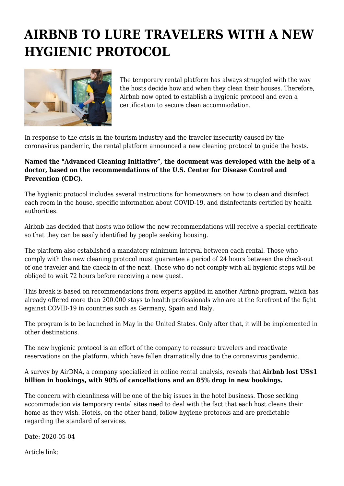## **AIRBNB TO LURE TRAVELERS WITH A NEW HYGIENIC PROTOCOL**



The temporary rental platform has always struggled with the way the hosts decide how and when they clean their houses. Therefore, Airbnb now opted to establish a hygienic protocol and even a certification to secure clean accommodation.

In response to the crisis in the tourism industry and the traveler insecurity caused by the coronavirus pandemic, the rental platform announced a new cleaning protocol to guide the hosts.

## **Named the "Advanced Cleaning Initiative", the document was developed with the help of a doctor, based on the recommendations of the U.S. Center for Disease Control and Prevention (CDC).**

The hygienic protocol includes several instructions for homeowners on how to clean and disinfect each room in the house, specific information about COVID-19, and disinfectants certified by health authorities.

Airbnb has decided that hosts who follow the new recommendations will receive a special certificate so that they can be easily identified by people seeking housing.

The platform also established a mandatory minimum interval between each rental. Those who comply with the new cleaning protocol must guarantee a period of 24 hours between the check-out of one traveler and the check-in of the next. Those who do not comply with all hygienic steps will be obliged to wait 72 hours before receiving a new guest.

This break is based on recommendations from experts applied in another Airbnb program, which has already offered more than 200.000 stays to health professionals who are at the forefront of the fight against COVID-19 in countries such as Germany, Spain and Italy.

The program is to be launched in May in the United States. Only after that, it will be implemented in other destinations.

The new hygienic protocol is an effort of the company to reassure travelers and reactivate reservations on the platform, which have fallen dramatically due to the coronavirus pandemic.

## A survey by AirDNA, a company specialized in online rental analysis, reveals that **Airbnb lost US\$1 billion in bookings, with 90% of cancellations and an 85% drop in new bookings.**

The concern with cleanliness will be one of the big issues in the hotel business. Those seeking accommodation via temporary rental sites need to deal with the fact that each host cleans their home as they wish. Hotels, on the other hand, follow hygiene protocols and are predictable regarding the standard of services.

Date: 2020-05-04

Article link: